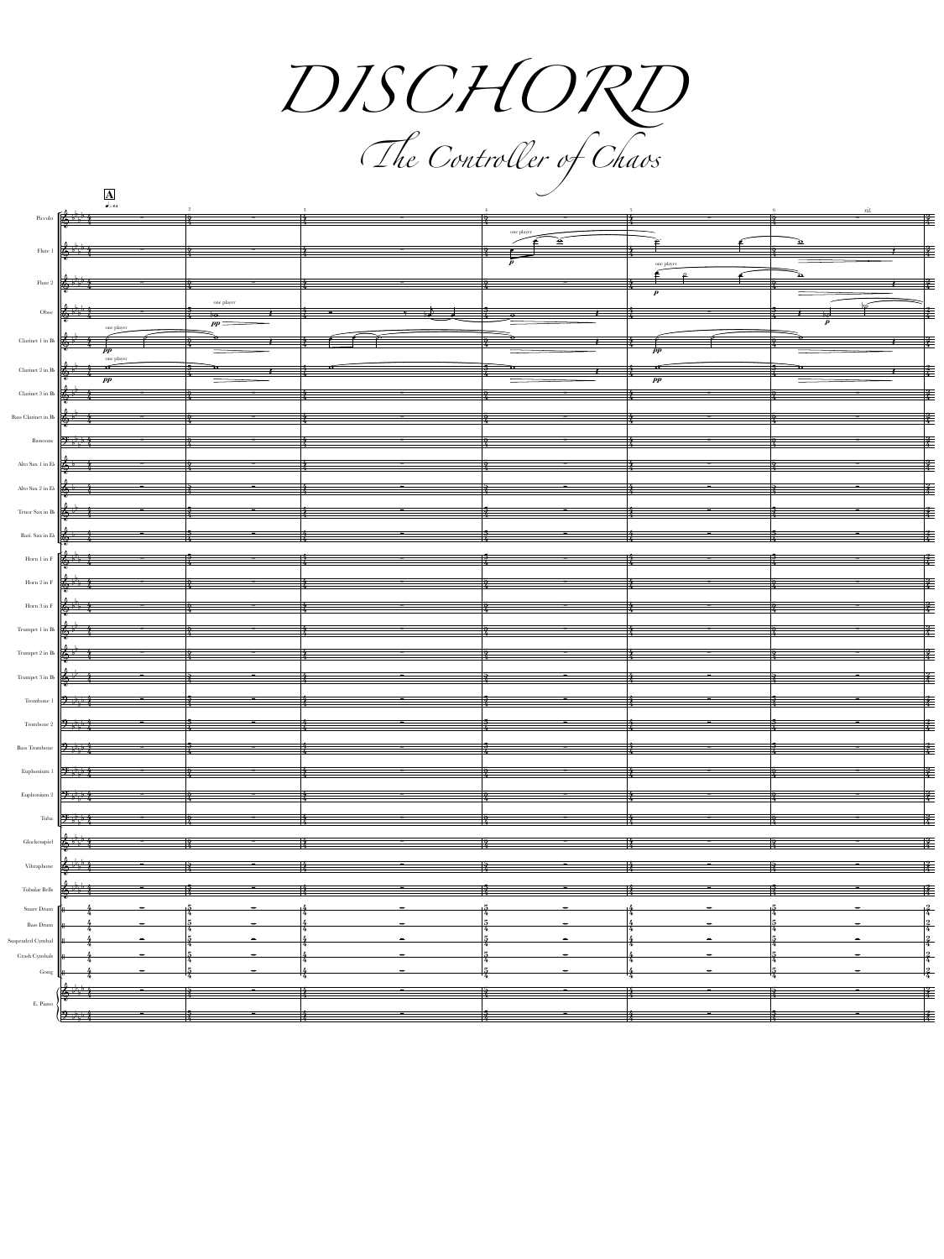DISCHORD<br>The Controller of Chaos

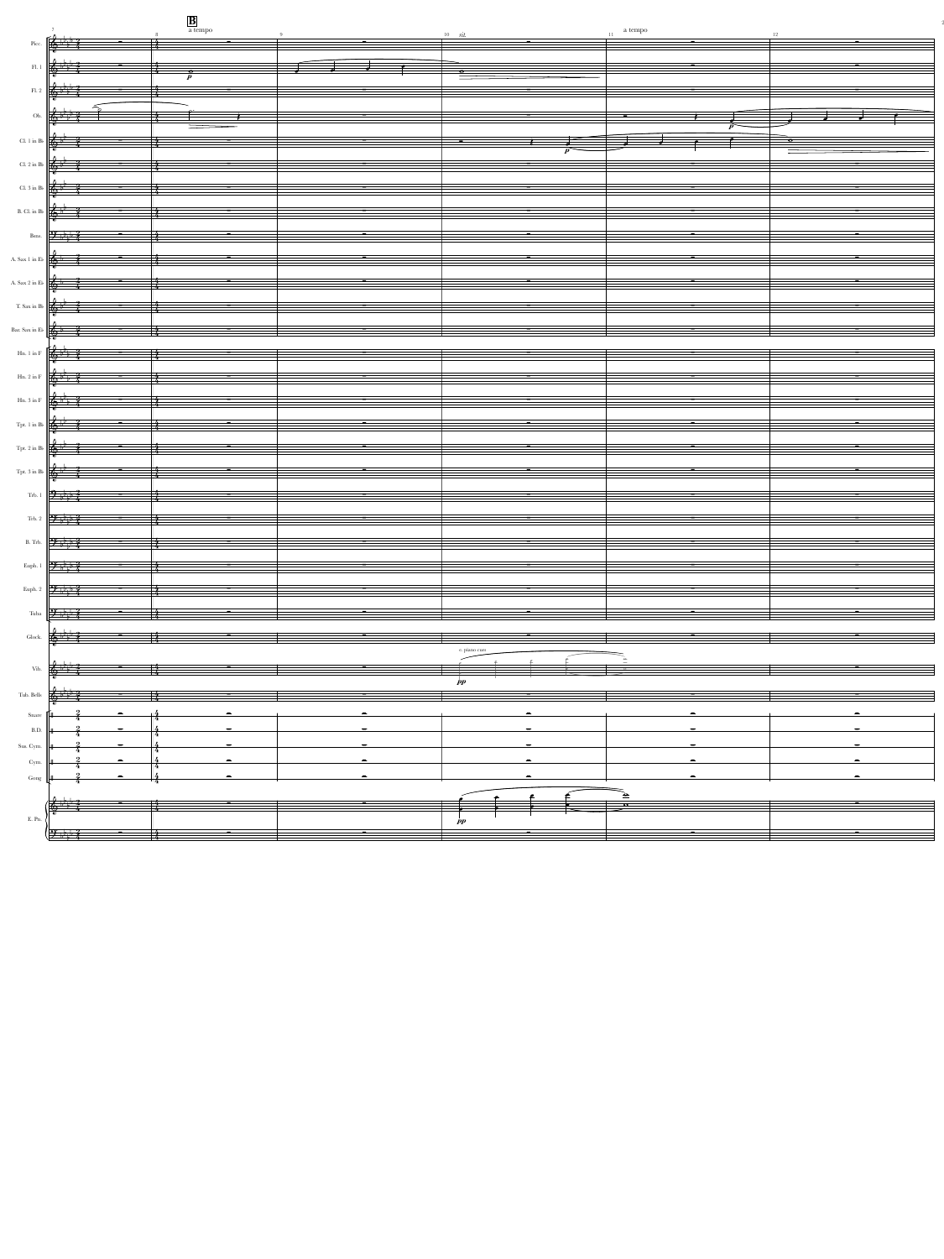

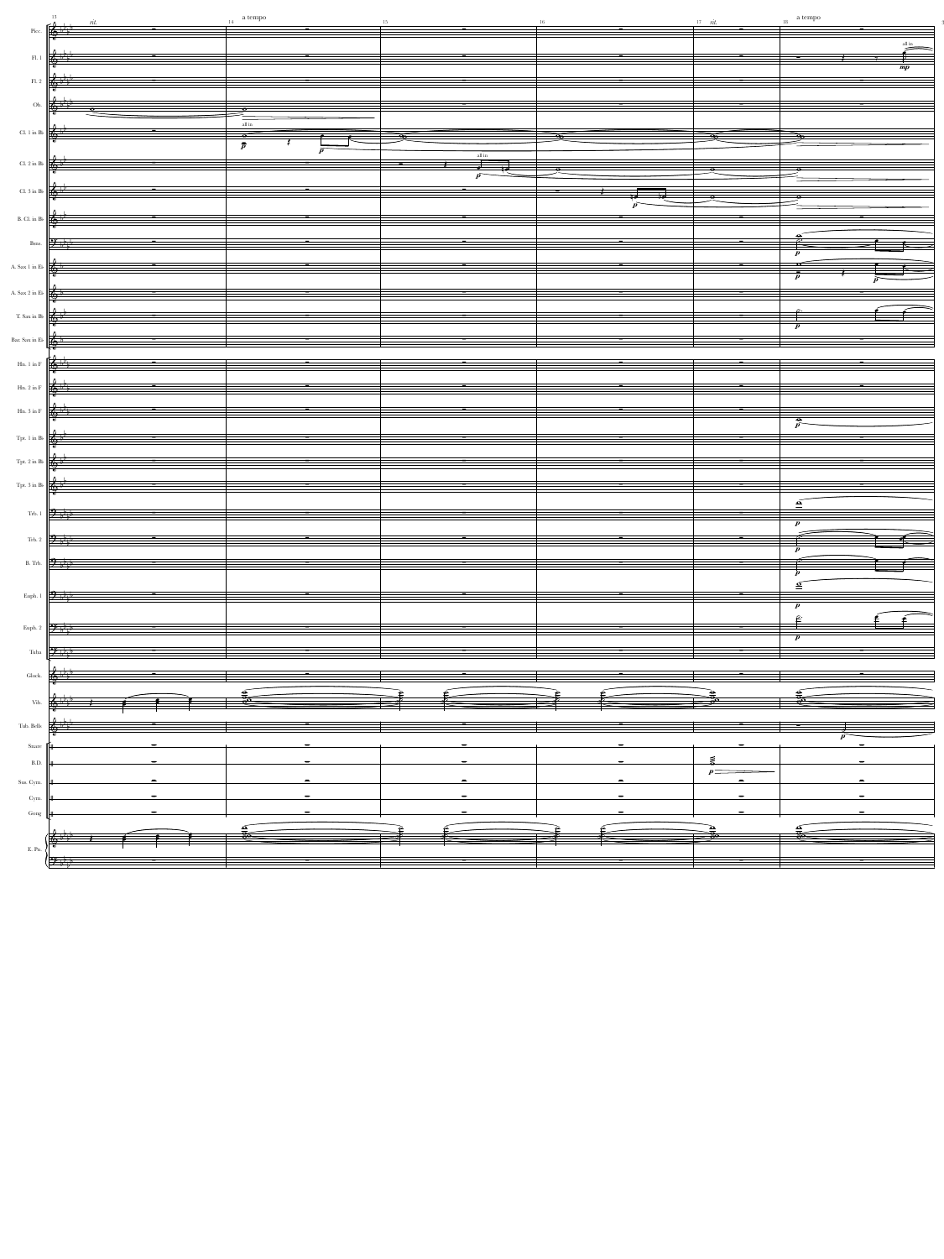|                                                 | $13\,$<br>nit.                                    | a tempo<br>14                     | 15                                                               |                                       | $\frac{17}{11}$ <i>nit</i> . | $18$ a tempo                             |                       |
|-------------------------------------------------|---------------------------------------------------|-----------------------------------|------------------------------------------------------------------|---------------------------------------|------------------------------|------------------------------------------|-----------------------|
|                                                 | Picc.                                             |                                   |                                                                  |                                       |                              |                                          |                       |
| $\,$ Fl. 1 $\,$                                 | $6^{b^b}$                                         |                                   |                                                                  |                                       |                              |                                          |                       |
|                                                 |                                                   |                                   |                                                                  |                                       |                              |                                          | $\frac{1}{\text{mp}}$ |
| $\mathop{\rm Fl.}\nolimits 2$                   | $6^{b^p}$                                         |                                   |                                                                  |                                       |                              |                                          |                       |
| Ob.                                             |                                                   |                                   |                                                                  |                                       |                              |                                          |                       |
|                                                 |                                                   | $\overline{\mathcal{L}}$          |                                                                  |                                       |                              |                                          |                       |
| Cl. 1 in $\rm B\bar{b}$                         | 6 ⊧                                               | $\,$ all in<br>$\overline{\cdot}$ | -<br>$\mathbf{a}$                                                | $\overline{\mathbf{e}}$               | $\overline{\mathbf{e}}$      | $\mathbf{P}$                             |                       |
|                                                 |                                                   | $\bar{p}$                         |                                                                  |                                       |                              |                                          |                       |
| Cl. 2 in $\rm B\!\flat$                         | $\bigoplus$                                       |                                   | all in<br>$\overrightarrow{ }$<br>$\overline{\phantom{a}}$<br>+• | $\bullet$                             | $-\mathbf{e}$                | $\overline{\phantom{a}}$                 |                       |
|                                                 |                                                   |                                   | $\overline{p}$                                                   |                                       |                              |                                          |                       |
| Cl. 3 in $\rm B\bar{\rm b}$                     |                                                   |                                   |                                                                  | $\overrightarrow{ }$<br><u>—</u><br>╦ |                              |                                          |                       |
|                                                 |                                                   |                                   |                                                                  |                                       |                              |                                          |                       |
| B. Cl. in $\mathbb B\flat$                      | Ъ                                                 |                                   |                                                                  |                                       |                              |                                          |                       |
| $_{\rm Bsns.}$                                  | $\mathcal{F}^{\flat}$                             |                                   |                                                                  |                                       |                              | $\bullet$                                |                       |
| A. Sax 1 in $E_b$                               |                                                   |                                   |                                                                  |                                       |                              | $\boldsymbol{p}$<br>$\overline{\bullet}$ |                       |
|                                                 | $\overline{\Phi}$                                 |                                   |                                                                  |                                       |                              | $\overline{p}$                           |                       |
| A. Sax $2$ in $\text{Eb}$                       | 6                                                 |                                   |                                                                  |                                       |                              |                                          |                       |
|                                                 |                                                   |                                   |                                                                  |                                       |                              |                                          |                       |
| T. Sax in $\rm B\flat$                          | ஞ்⊭                                               |                                   |                                                                  |                                       |                              | $\overline{p}$                           |                       |
| Bar. Sax in $\mathrm{Eb}$                       | $\mathbb{C}^1$                                    |                                   |                                                                  |                                       |                              |                                          |                       |
| Hn. 1 in $F$                                    |                                                   |                                   |                                                                  |                                       |                              |                                          |                       |
|                                                 | $6^{p}$                                           |                                   |                                                                  |                                       |                              |                                          |                       |
| Hn. 2 in F $\,$                                 | $\frac{1}{2}$                                     |                                   |                                                                  |                                       |                              |                                          |                       |
| Hn. 3 in F                                      |                                                   |                                   |                                                                  |                                       | н.                           |                                          |                       |
|                                                 |                                                   |                                   |                                                                  |                                       |                              | $\bullet$                                |                       |
| Tpt. 1 in $\rm B\flat$                          | $\Phi^{\flat}$                                    |                                   |                                                                  |                                       |                              |                                          |                       |
| Tpt. $2$ in $\rm B\flat$                        |                                                   |                                   |                                                                  |                                       |                              |                                          |                       |
|                                                 | 6,                                                |                                   |                                                                  |                                       |                              |                                          |                       |
| Tpt. 3 in $\rm B\bar{\it b}$                    | $\phi^{\flat}$                                    |                                   |                                                                  |                                       |                              |                                          |                       |
|                                                 |                                                   |                                   |                                                                  |                                       |                              | $\overline{\mathbf{e}}$                  |                       |
|                                                 | Trb. 1 $\frac{1}{2}$ $\frac{1}{2}$                |                                   |                                                                  |                                       |                              | $\boldsymbol{p}$                         |                       |
|                                                 | Trb. 2 $\frac{1}{2}$ $\frac{1}{2}$                |                                   |                                                                  |                                       |                              | $\overline{\rho}$ .                      | $\leftarrow$          |
|                                                 |                                                   |                                   |                                                                  |                                       |                              | $\boldsymbol{p}$                         |                       |
|                                                 | B. Trb. $\frac{\partial}{\partial \theta}$        |                                   |                                                                  |                                       |                              | $\boldsymbol{p}$                         |                       |
|                                                 |                                                   |                                   |                                                                  |                                       |                              | $\tilde{\mathbf{a}}$                     |                       |
|                                                 | Euph. 1 $\frac{1}{2}$ $\frac{1}{2}$ $\frac{1}{2}$ |                                   |                                                                  |                                       |                              | $\boldsymbol{p}$                         |                       |
|                                                 |                                                   |                                   |                                                                  |                                       |                              | $\hat{f}$ .                              |                       |
| Euph. 2 $\frac{1}{2}$ $\frac{1}{2}$             |                                                   |                                   |                                                                  |                                       |                              | $\boldsymbol{p}$                         |                       |
| ${\hbox{Tuba}}$                                 | $2\nmid \frac{1}{2}\nmid$                         |                                   |                                                                  |                                       |                              |                                          |                       |
| ${\rm Glock}.$                                  | $8 + 1$                                           |                                   |                                                                  |                                       |                              |                                          |                       |
|                                                 |                                                   | $\mathbf{e}$                      |                                                                  | $\rightarrow$                         |                              | $\ddot{\mathbf{e}}$                      |                       |
| $% \left( \mathcal{N}_{\mathrm{L}}\right)$ Vib. | $\frac{6}{9}$                                     |                                   |                                                                  |                                       | $\frac{1}{\sqrt{2}}$         |                                          |                       |
|                                                 |                                                   |                                   |                                                                  |                                       |                              |                                          |                       |
| Tub. Bells                                      |                                                   |                                   |                                                                  |                                       |                              |                                          |                       |
| Snare                                           |                                                   |                                   |                                                                  |                                       |                              |                                          |                       |
| B.D.                                            |                                                   |                                   |                                                                  |                                       | ≋<br>$p \equiv$              |                                          |                       |
| $\,$ Sus. Cym.                                  |                                                   |                                   |                                                                  |                                       |                              |                                          |                       |

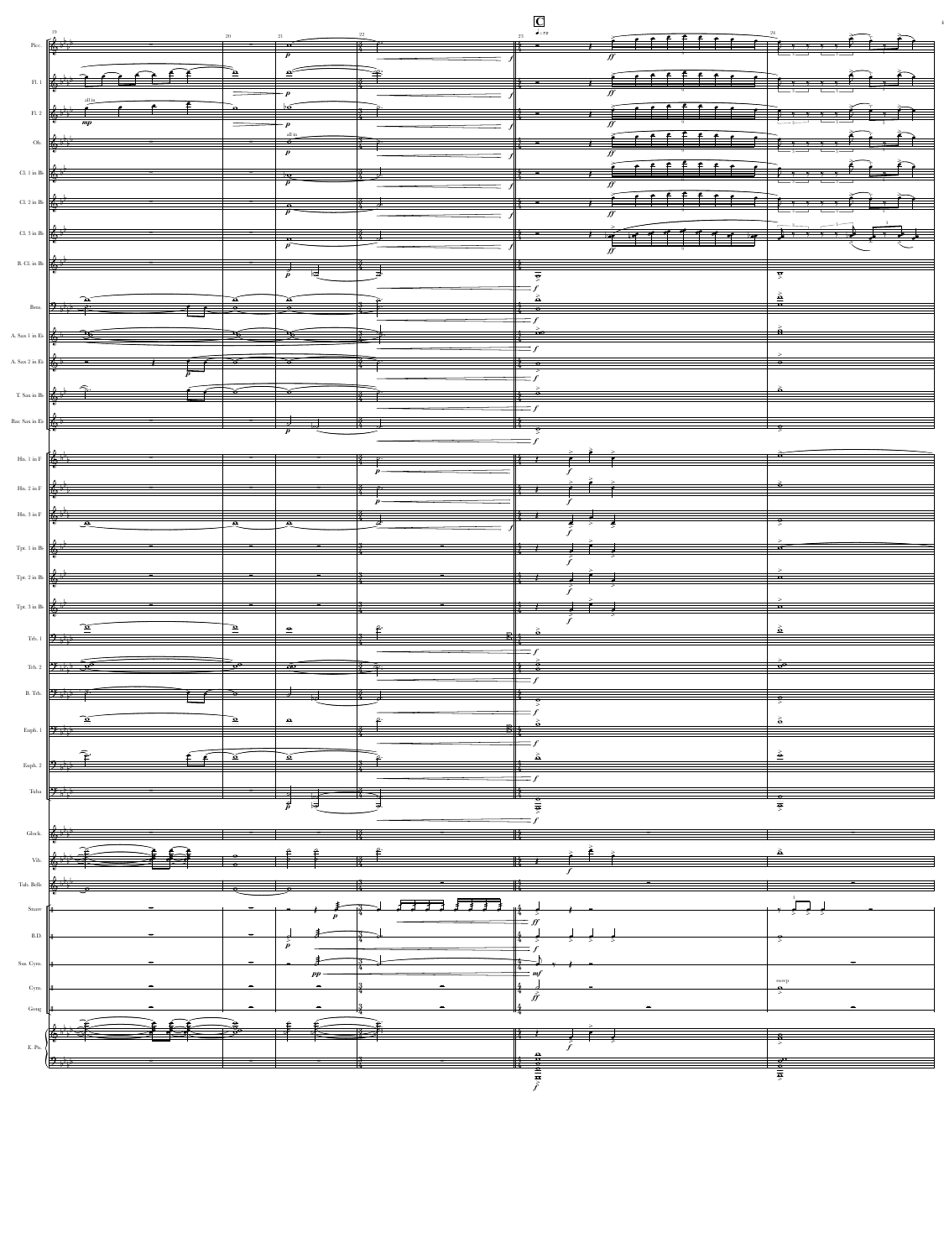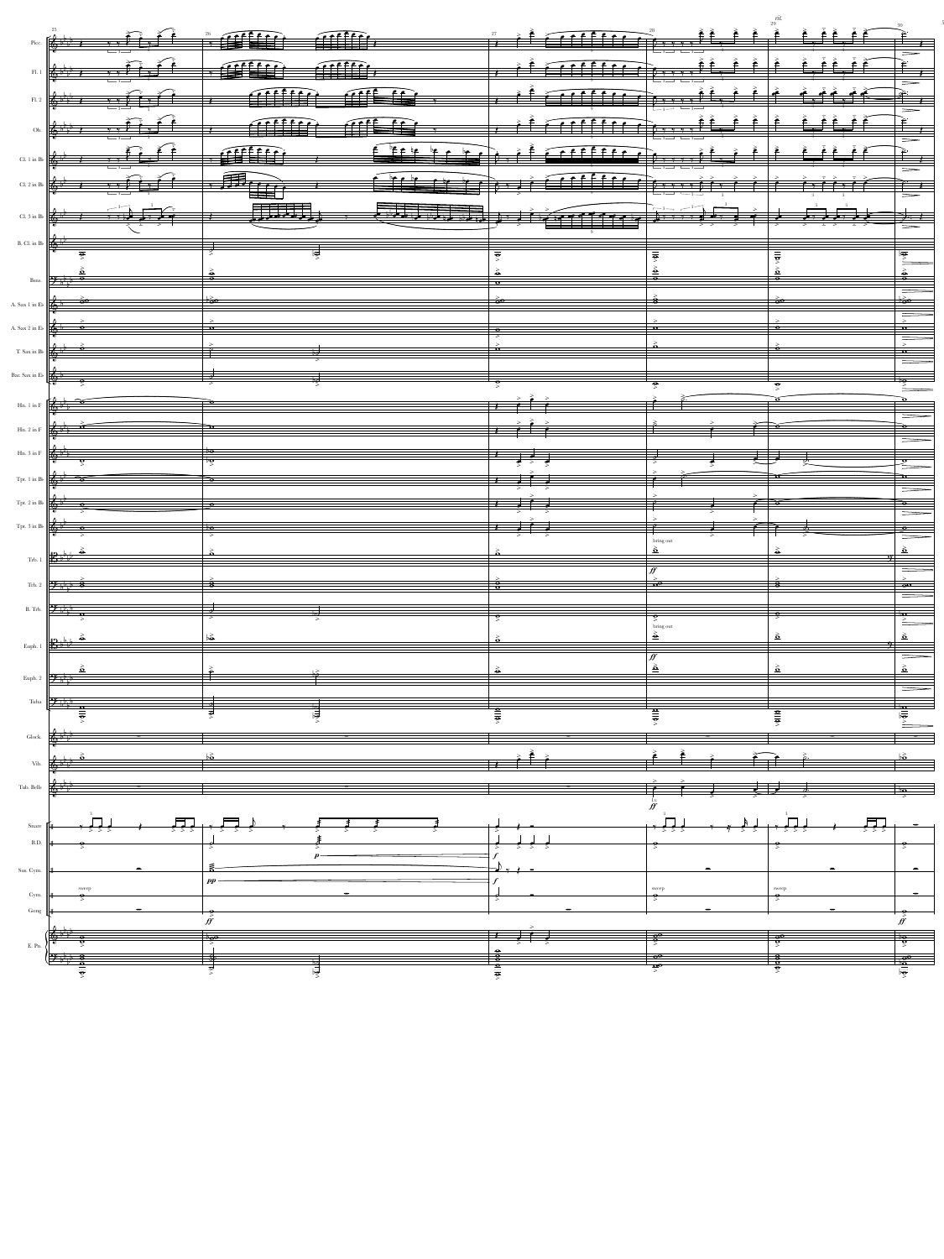| Picc.                                           |                                                                                                                                                    |                                                                |                                                                                                                                                                                                                                                                                                                                                                                                                                                                                                                                                 |                                                                                                                                                                                                                                                                                                                                                                                                                                                                                                                                                                                                                                                           |
|-------------------------------------------------|----------------------------------------------------------------------------------------------------------------------------------------------------|----------------------------------------------------------------|-------------------------------------------------------------------------------------------------------------------------------------------------------------------------------------------------------------------------------------------------------------------------------------------------------------------------------------------------------------------------------------------------------------------------------------------------------------------------------------------------------------------------------------------------|-----------------------------------------------------------------------------------------------------------------------------------------------------------------------------------------------------------------------------------------------------------------------------------------------------------------------------------------------------------------------------------------------------------------------------------------------------------------------------------------------------------------------------------------------------------------------------------------------------------------------------------------------------------|
| Fl. 1                                           |                                                                                                                                                    | $f = f \cdot f$                                                |                                                                                                                                                                                                                                                                                                                                                                                                                                                                                                                                                 | $\!=$                                                                                                                                                                                                                                                                                                                                                                                                                                                                                                                                                                                                                                                     |
| Fl. 2                                           |                                                                                                                                                    |                                                                |                                                                                                                                                                                                                                                                                                                                                                                                                                                                                                                                                 | $\!=$                                                                                                                                                                                                                                                                                                                                                                                                                                                                                                                                                                                                                                                     |
| Ob. $\,$                                        | $\sqrt{2}$                                                                                                                                         |                                                                |                                                                                                                                                                                                                                                                                                                                                                                                                                                                                                                                                 | $\implies$                                                                                                                                                                                                                                                                                                                                                                                                                                                                                                                                                                                                                                                |
| Cl. 1 in $\rm B\bar{\it b}$                     | $F$ ie                                                                                                                                             | f                                                              |                                                                                                                                                                                                                                                                                                                                                                                                                                                                                                                                                 | $\implies$                                                                                                                                                                                                                                                                                                                                                                                                                                                                                                                                                                                                                                                |
| Cl. $2$ in $\rm B\flat$                         | $\mathbb{R}$                                                                                                                                       |                                                                | $\begin{array}{c} \begin{array}{c} \hline \end{array} & \begin{array}{c} \hline \end{array} & \begin{array}{c} \hline \end{array} & \begin{array}{c} \hline \end{array} & \begin{array}{c} \hline \end{array} & \begin{array}{c} \hline \end{array} & \begin{array}{c} \hline \end{array} & \begin{array}{c} \hline \end{array} & \begin{array}{c} \hline \end{array} & \begin{array}{c} \hline \end{array} & \begin{array}{c} \hline \end{array} & \begin{array}{c} \hline \end{array} & \begin{array}{c} \hline \end{array} & \begin{array}{$ | $\,$<br>$\widetilde{\overline{+}}$                                                                                                                                                                                                                                                                                                                                                                                                                                                                                                                                                                                                                        |
| Cl. 3 in $\rm{B\!b}$                            | $\frac{1}{2}$<br>e bleed to ble to ble to<br>, oo oo oo oo oo oo o                                                                                 | $\frac{1}{2}$ and $\frac{1}{2}$                                | $\frac{1}{24444}$                                                                                                                                                                                                                                                                                                                                                                                                                                                                                                                               | $\!=$<br>$\frac{1}{\sqrt{2}}$                                                                                                                                                                                                                                                                                                                                                                                                                                                                                                                                                                                                                             |
| B. Cl. in $\rm B\!\flat$                        | $\frac{1}{2}$<br>bø                                                                                                                                |                                                                |                                                                                                                                                                                                                                                                                                                                                                                                                                                                                                                                                 | ═                                                                                                                                                                                                                                                                                                                                                                                                                                                                                                                                                                                                                                                         |
| Bsns.                                           | $\ddot{\mathbf{e}}$<br>$9 + \frac{1}{2}$<br>$\bullet$                                                                                              | $\sigma$<br>><br>$\hat{\bullet}$<br>$\bullet$                  | $\overline{\overline{\overline{v}}}$<br>$\overline{\mathbf{e}}$<br>><br>$\mathbf{\hat{a}}$<br>$\bullet$<br>$\overline{\bullet}$<br>$\bullet$                                                                                                                                                                                                                                                                                                                                                                                                    | $\frac{1}{2}$<br>$\tilde{\bullet}$<br>$-\mathbf{e}$                                                                                                                                                                                                                                                                                                                                                                                                                                                                                                                                                                                                       |
| A. Sax $1$ in $\operatorname{Eb}$               | $\overrightarrow{b}$ o                                                                                                                             | $\overline{\mathbf{e}}$                                        | -8<br>$-\mathbf{e}$                                                                                                                                                                                                                                                                                                                                                                                                                                                                                                                             | $\overline{v_{\mathbf{O}}\mathbf{o}}$                                                                                                                                                                                                                                                                                                                                                                                                                                                                                                                                                                                                                     |
| A. Sax $2$ in $\operatorname{Eb}$               | $\overline{\bullet}$                                                                                                                               | $\mathbf{o}$                                                   | $\bullet$<br>$\overline{\bullet}$                                                                                                                                                                                                                                                                                                                                                                                                                                                                                                               | $=$<br>$\overline{\bullet}$<br>$=$<br>$\mathbf{r}$                                                                                                                                                                                                                                                                                                                                                                                                                                                                                                                                                                                                        |
| T. Sax in $\rm B\!\flat$                        | $\overline{\mathcal{P}}$<br>$\overline{b}$                                                                                                         | $-\mathbf{o}-$                                                 | $\circ$                                                                                                                                                                                                                                                                                                                                                                                                                                                                                                                                         | $\overline{\bullet}$<br>$=$                                                                                                                                                                                                                                                                                                                                                                                                                                                                                                                                                                                                                               |
| Bar. Sax in $\operatorname{Eb}$                 | $\phi$<br>$\mathbf{c}$                                                                                                                             |                                                                | $\overline{S}$                                                                                                                                                                                                                                                                                                                                                                                                                                                                                                                                  |                                                                                                                                                                                                                                                                                                                                                                                                                                                                                                                                                                                                                                                           |
| Hn. 1 in F<br>Hn. $2$ in $\cal F$               | $6^{b}$<br>$-\mathbf{o}-$                                                                                                                          |                                                                | $\bigoplus_{i=1}^{\infty}$                                                                                                                                                                                                                                                                                                                                                                                                                                                                                                                      | $\qquad \qquad$<br>$\sigma$                                                                                                                                                                                                                                                                                                                                                                                                                                                                                                                                                                                                                               |
| Hn. $3$ in $\rm F$                              | $\rightarrow \infty$<br>$6^{6}$<br>$\frac{1}{2}$                                                                                                   | $\overrightarrow{ }$<br>$\frac{1}{\sqrt{2}}$                   | 麦<br>₹₹<br>$\overline{\mathcal{C}}$                                                                                                                                                                                                                                                                                                                                                                                                                                                                                                             | $\qquad \qquad \overline{\qquad \qquad }$<br>$\overline{\overline{\cdot} }$                                                                                                                                                                                                                                                                                                                                                                                                                                                                                                                                                                               |
| Tpt. 1 in $\rm B\flat$                          | $\overline{\bullet}$                                                                                                                               | $\left  \begin{array}{ccc} 1 & 1 \\ 1 & 1 \end{array} \right $ | $-\mathbf{e}$                                                                                                                                                                                                                                                                                                                                                                                                                                                                                                                                   | $\overline{\bullet}$<br>$\equiv$                                                                                                                                                                                                                                                                                                                                                                                                                                                                                                                                                                                                                          |
| Tpt. $2$ in $\rm B\flat$                        | $\bullet$                                                                                                                                          | $\left  \begin{array}{ccc} 1 & 1 \\ 1 & 1 \end{array} \right $ | $\sim$<br>$\int$                                                                                                                                                                                                                                                                                                                                                                                                                                                                                                                                | $\equiv$                                                                                                                                                                                                                                                                                                                                                                                                                                                                                                                                                                                                                                                  |
| Tpt. 3 in B <sub>b</sub> $\frac{p}{\sqrt{p^2}}$ | $\frac{1}{20}$<br>$\overline{\phantom{1}}$<br>$\delta$                                                                                             | $\frac{>}{\mathbf{o}}$                                         | 看上<br>$\vert \rho \vert$<br>$\sum_{i=1}^{\text{bring out}}$<br>$\frac{>}{\mathbf{e}}$                                                                                                                                                                                                                                                                                                                                                                                                                                                           | $\begin{tabular}{ c c } \hline \quad \quad & \quad \quad & \quad \quad & \quad \quad \\ \hline \quad \quad & \quad \quad & \quad \quad \\ \hline \quad \quad & \quad \quad & \quad \quad \\ \hline \quad \quad & \quad \quad & \quad \quad \\ \hline \quad \quad & \quad \quad & \quad \quad \\ \hline \quad \quad & \quad \quad & \quad \quad \\ \hline \quad \quad & \quad \quad & \quad \quad \\ \hline \quad \quad & \quad \quad & \quad \quad \\ \hline \quad \quad & \quad \quad & \quad \quad \\ \hline \quad \quad & \quad \quad & \quad \quad \\ \hline \quad \quad & \quad \quad & \quad \quad \\ \hline \quad$<br>$\stackrel{>}{\pmb{\alpha}}$ |
|                                                 | Trb. 1 $\frac{1}{12} + \frac{6}{12}$<br>$\overline{\mathbf{8}}$                                                                                    | $\frac{2}{\pm 2}$                                              | $\overline{f\hspace{-0.25em}f}$<br>$\frac{>}{8}$<br>$\frac{1}{\alpha}$                                                                                                                                                                                                                                                                                                                                                                                                                                                                          | $=$<br>$\frac{>}{\frac{1}{\sqrt{2}}\left( \frac{1}{\sqrt{2}}\right) }$                                                                                                                                                                                                                                                                                                                                                                                                                                                                                                                                                                                    |
|                                                 | Trb. 2 $\frac{1}{\sqrt{2}} \frac{1}{\sqrt{2}} \frac{1}{\sqrt{2}}$<br>B. Trb. $\frac{1}{\sqrt{2} + \frac{1}{\sqrt{2}}}$<br>$\overline{\phantom{a}}$ |                                                                |                                                                                                                                                                                                                                                                                                                                                                                                                                                                                                                                                 | $\qquad \qquad \Longrightarrow$                                                                                                                                                                                                                                                                                                                                                                                                                                                                                                                                                                                                                           |
|                                                 | $\flat\stackrel{>}{\bullet}$<br>Euph. 1 $\frac{1}{12}$ $\frac{1}{2}$ $\frac{1}{2}$                                                                 | $\mathbf{S}$<br>$\delta$                                       | $\mathbf{S}$<br>$\mathbf{\hat{S}}$<br>bring out<br>$\stackrel{\scriptstyle >}{\underline{\textstyle \bullet}}$<br>$\mathbf{\hat{a}}$                                                                                                                                                                                                                                                                                                                                                                                                            | $\begin{array}{c}\n\overline{\phantom{0}}\uparrow\overline{\phantom{0}}\downarrow\overline{\phantom{0}}\downarrow\overline{\phantom{0}}\downarrow\overline{\phantom{0}}\downarrow\overline{\phantom{0}}\downarrow\overline{\phantom{0}}\downarrow\overline{\phantom{0}}\downarrow\overline{\phantom{0}}\downarrow\overline{\phantom{0}}\downarrow\overline{\phantom{0}}\downarrow\overline{\phantom{0}}\downarrow\overline{\phantom{0}}\downarrow\overline{\phantom{0}}\downarrow\overline{\phantom{0}}\downarrow\overline{\phantom{0}}\downarrow\overline{\phantom{0}}\downarrow\overline{\phantom{0$<br>$\stackrel{>}{\bm{\hat \alpha}}$                |
|                                                 | $\hat{\mathbf{a}}$<br>$\geq$<br>$\frac{1}{2}$                                                                                                      | $\frac{>}{\mathbf{e}}$                                         | $f\hspace{-0.1cm}f$<br>$\stackrel{\scriptstyle >}{\scriptstyle \bullet}$<br>$\mathbf{\hat{a}}$                                                                                                                                                                                                                                                                                                                                                                                                                                                  | $\qquad \qquad \Longrightarrow$<br>$\mathbf{\hat{\Omega}}$                                                                                                                                                                                                                                                                                                                                                                                                                                                                                                                                                                                                |
| Euph. 2 $\frac{1}{\sqrt{2}}$                    | ╼<br>Tuba $\frac{\frac{1}{2} + \frac{1}{2} + \frac{1}{2}}{\frac{1}{2} + \frac{1}{2}}$<br>$\overline{\phantom{a}}$                                  |                                                                |                                                                                                                                                                                                                                                                                                                                                                                                                                                                                                                                                 | $\qquad \qquad \Longrightarrow$                                                                                                                                                                                                                                                                                                                                                                                                                                                                                                                                                                                                                           |
|                                                 | <b>Harris</b>                                                                                                                                      | $\frac{1}{\phi}$                                               | $\frac{\mathbf{a}}{\mathbf{b}}$<br>$\overline{\bullet}$                                                                                                                                                                                                                                                                                                                                                                                                                                                                                         | $\frac{\overline{\mathbf{p}}}{\overline{\mathbf{p}}}\overline{\mathbf{p}}$                                                                                                                                                                                                                                                                                                                                                                                                                                                                                                                                                                                |
| ${\rm Glock}.$<br>$\ensuremath{\text{Vib.}}$    | $8+1$<br>$b\delta$<br>$6 + b$                                                                                                                      |                                                                | $\geq$<br>▆                                                                                                                                                                                                                                                                                                                                                                                                                                                                                                                                     | --<br>$\frac{b\delta}{c}$                                                                                                                                                                                                                                                                                                                                                                                                                                                                                                                                                                                                                                 |
|                                                 | $\Box p_1$                                                                                                                                         |                                                                |                                                                                                                                                                                                                                                                                                                                                                                                                                                                                                                                                 |                                                                                                                                                                                                                                                                                                                                                                                                                                                                                                                                                                                                                                                           |

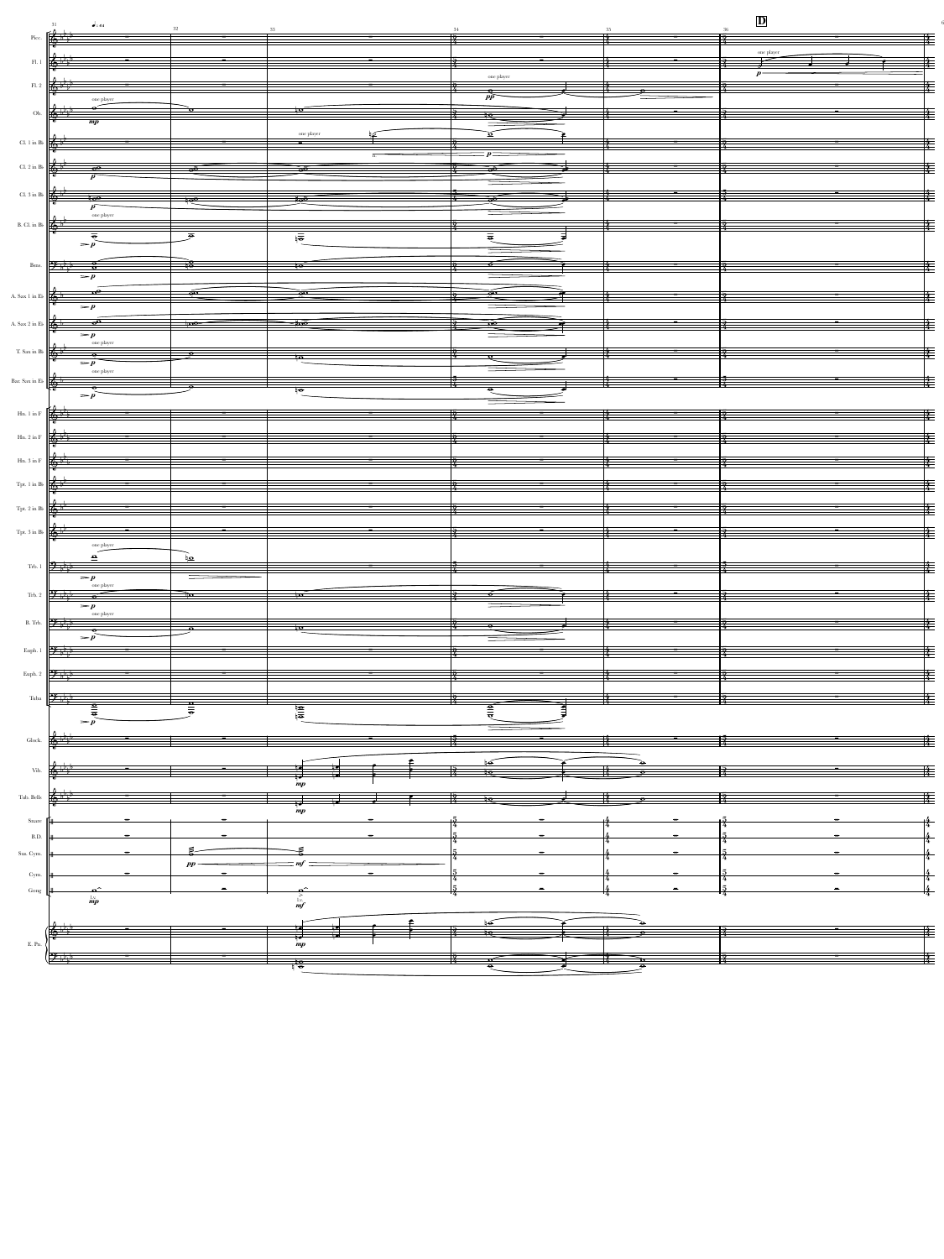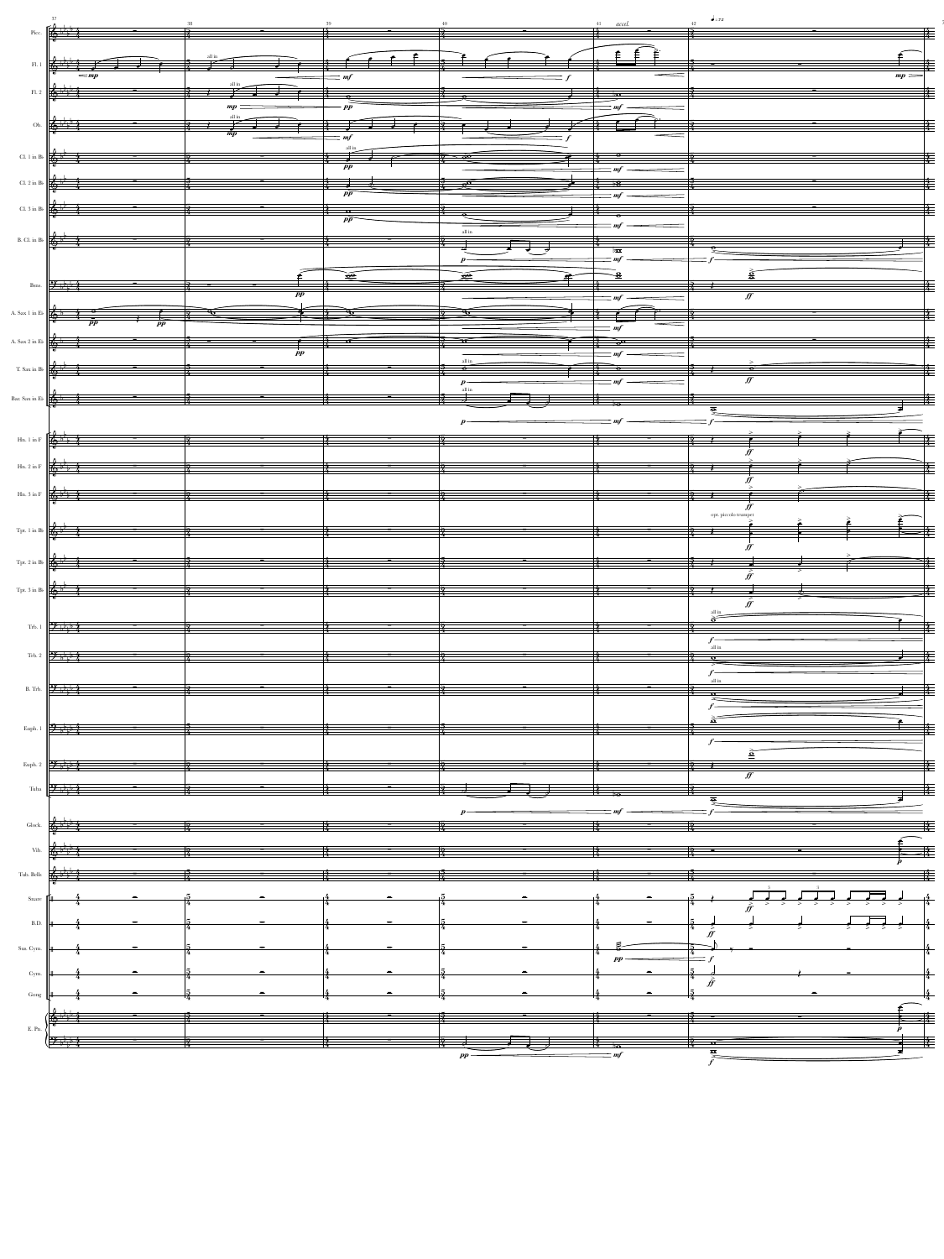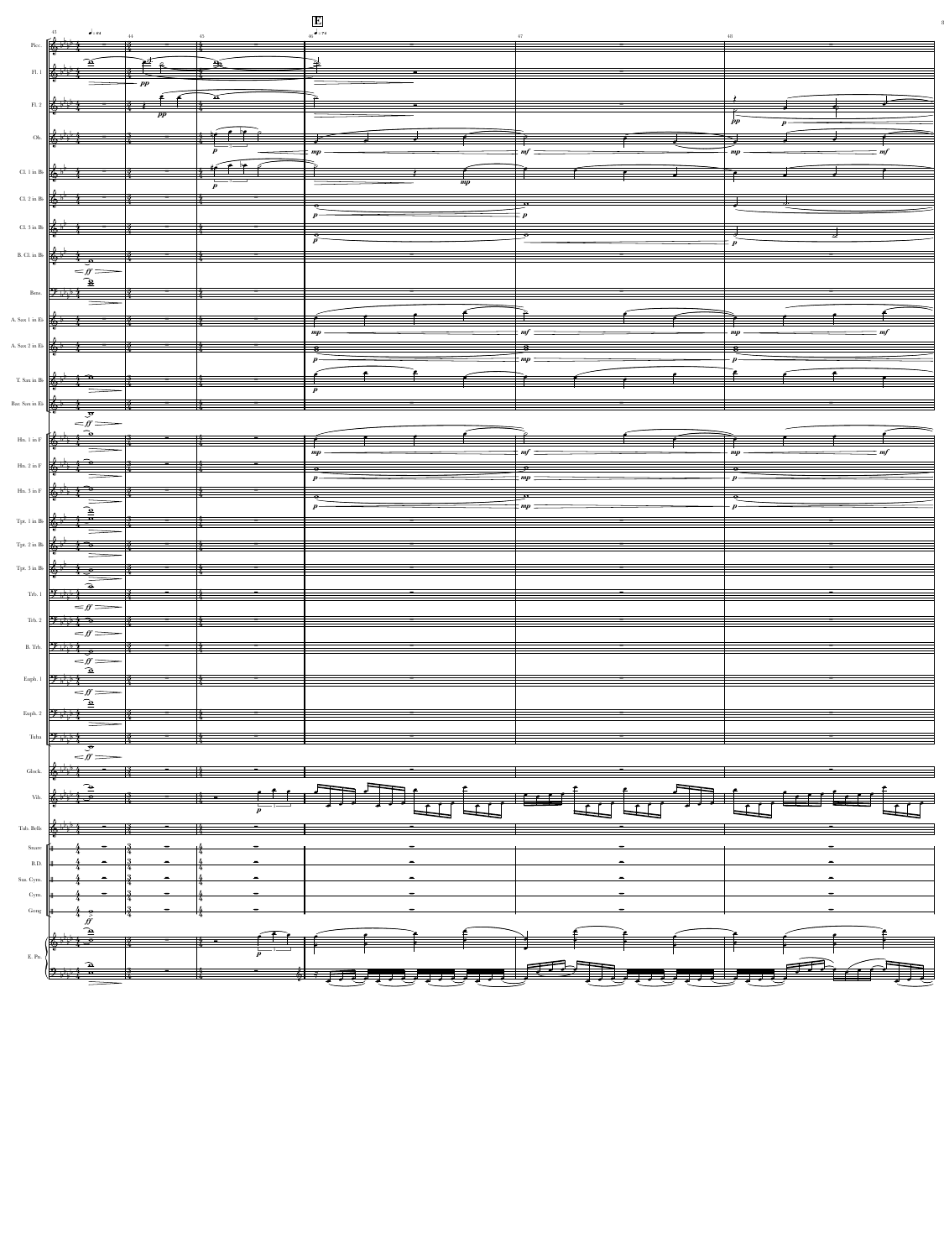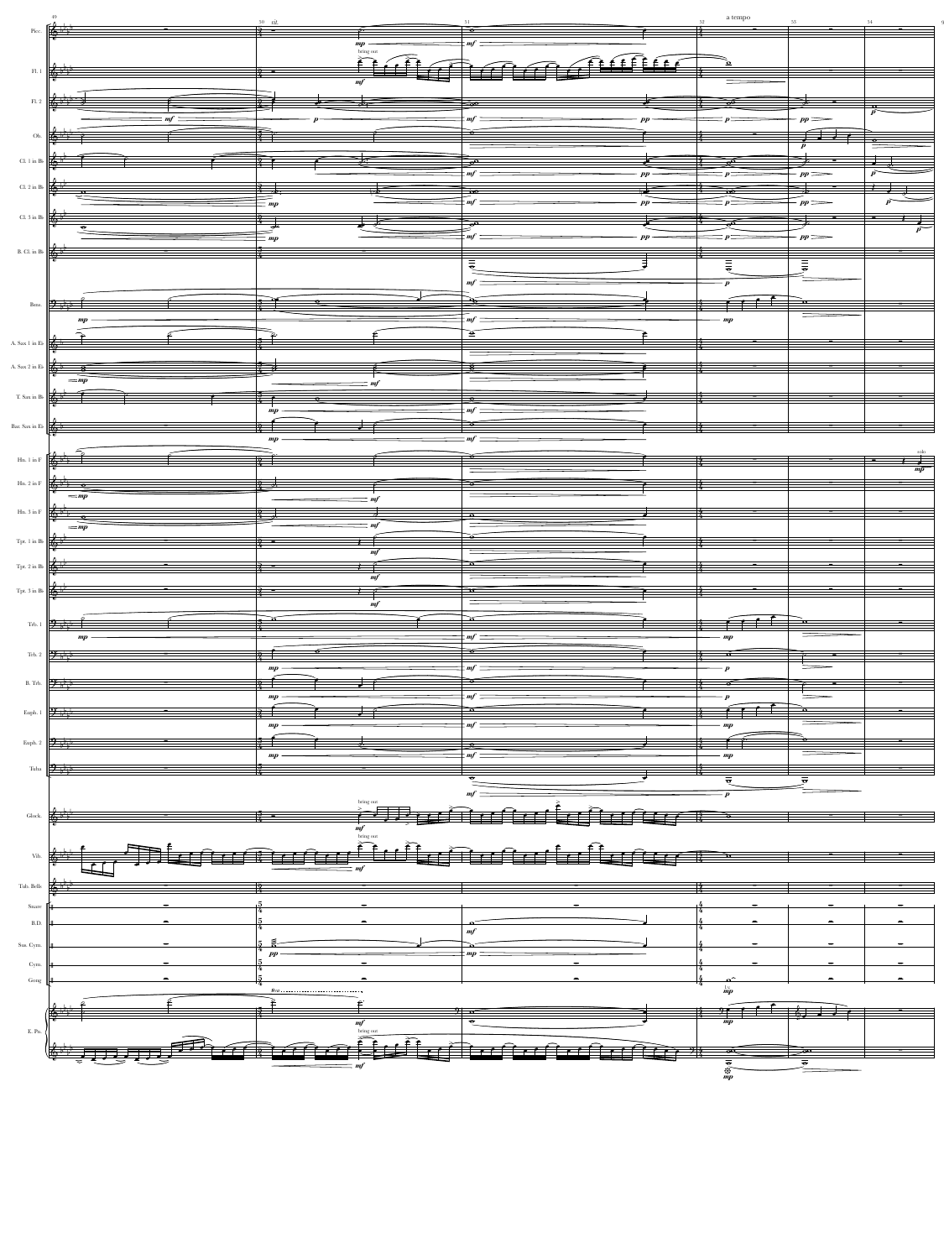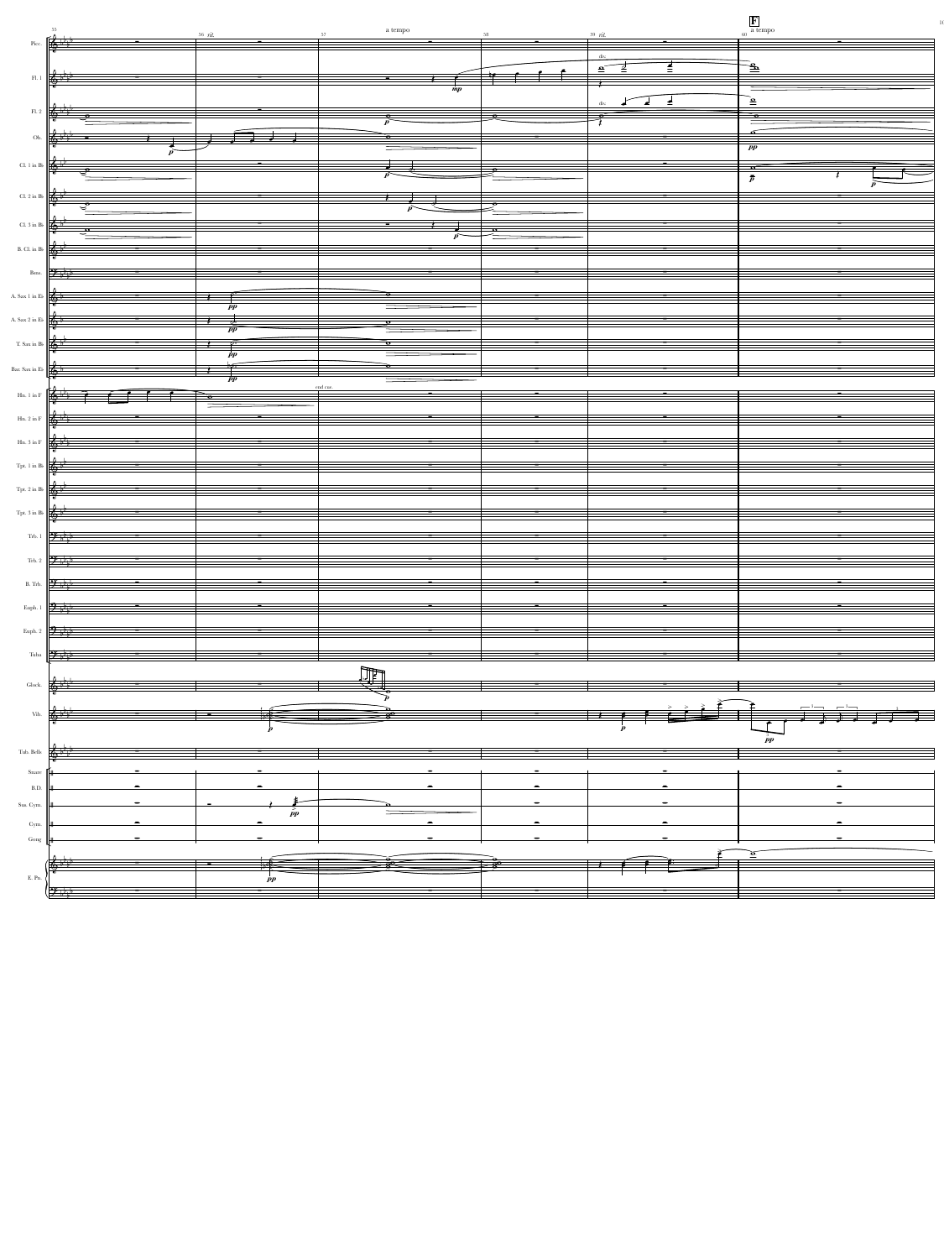

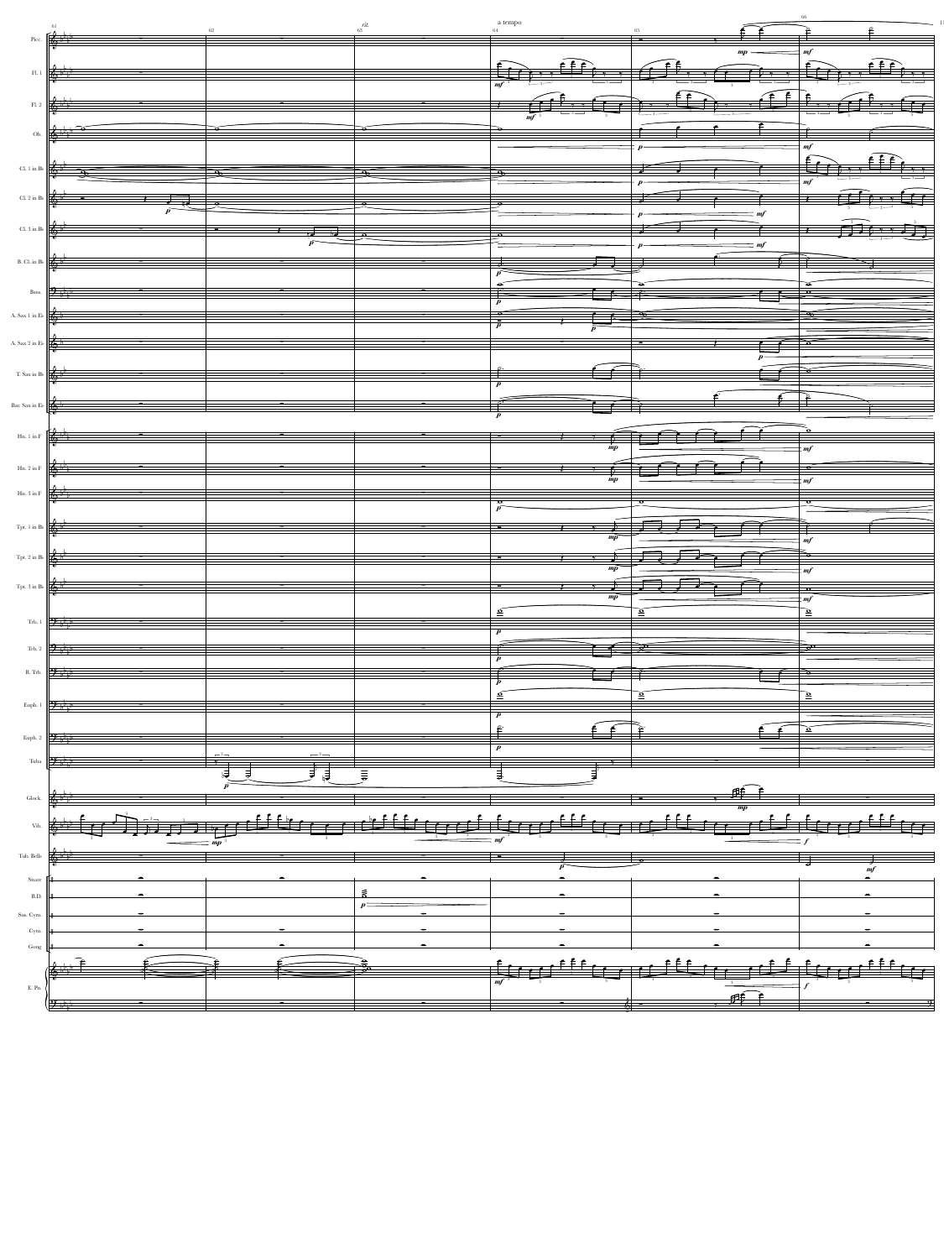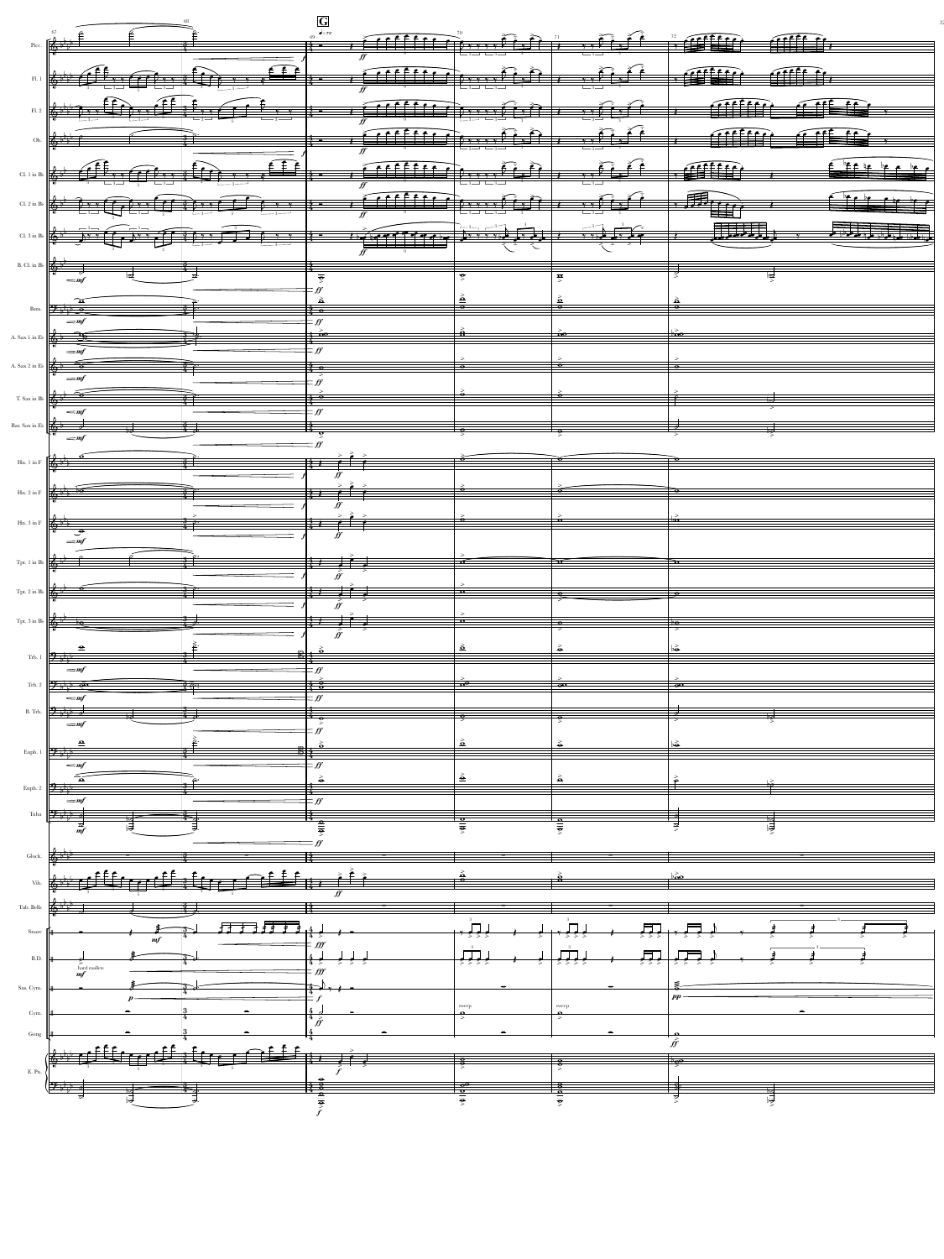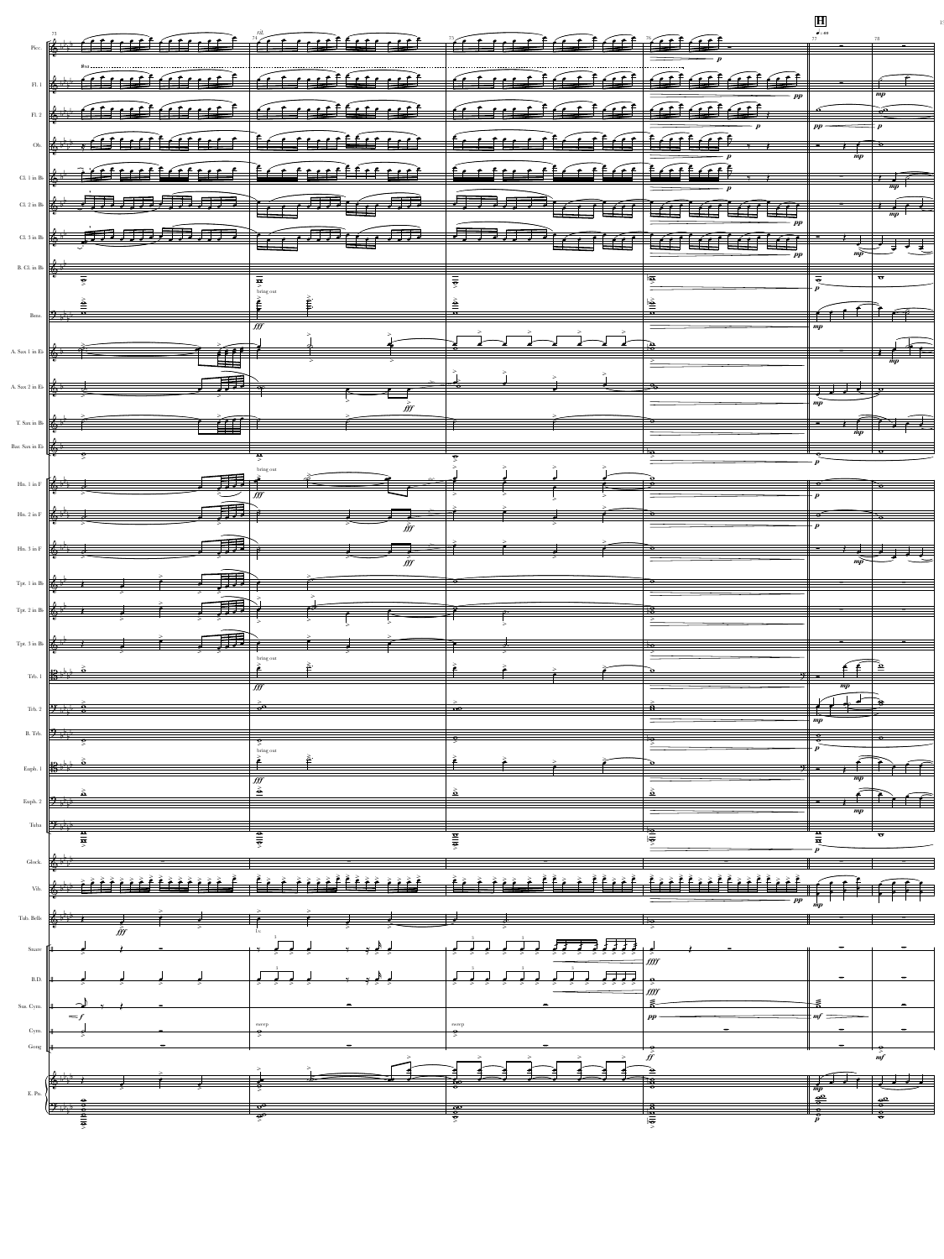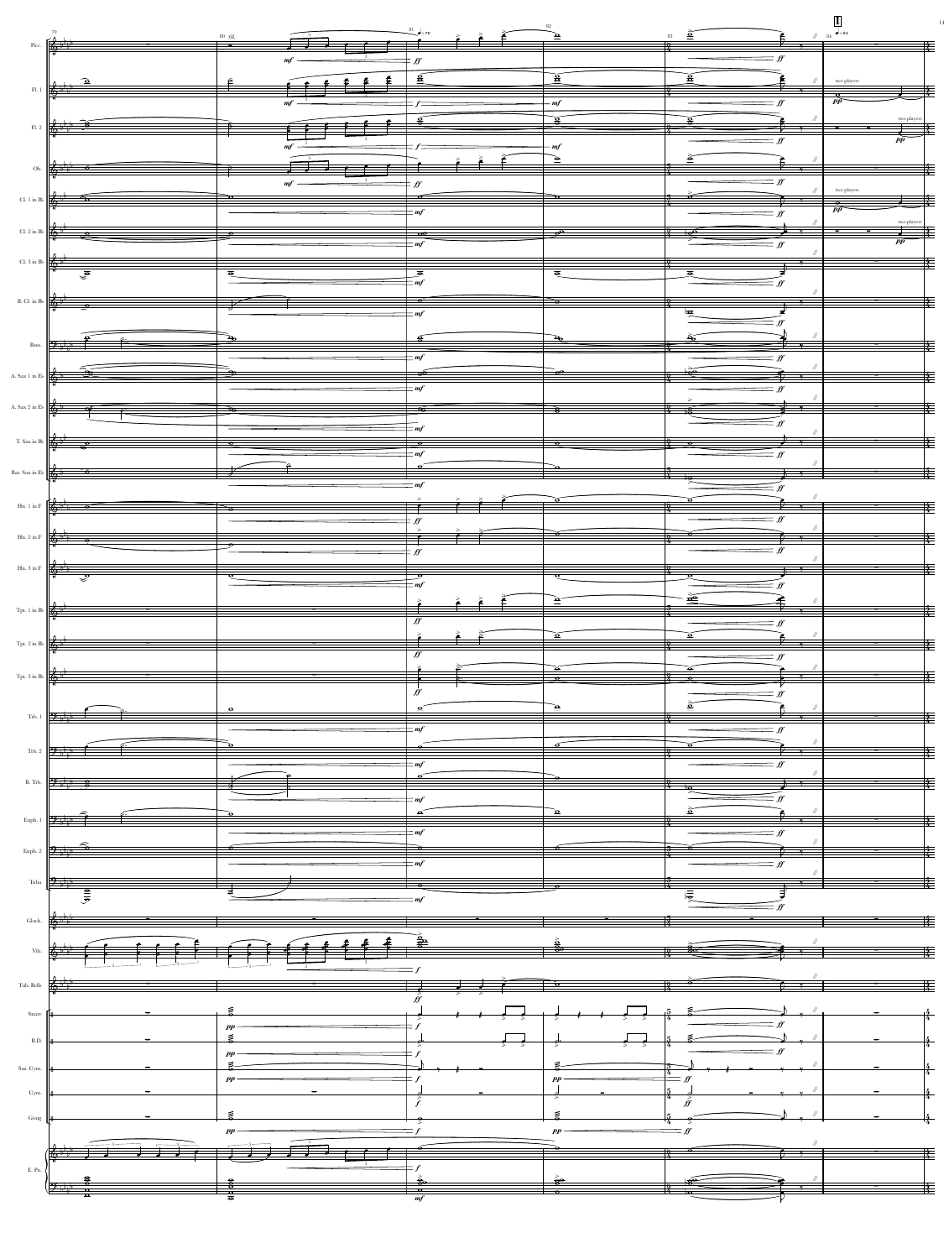